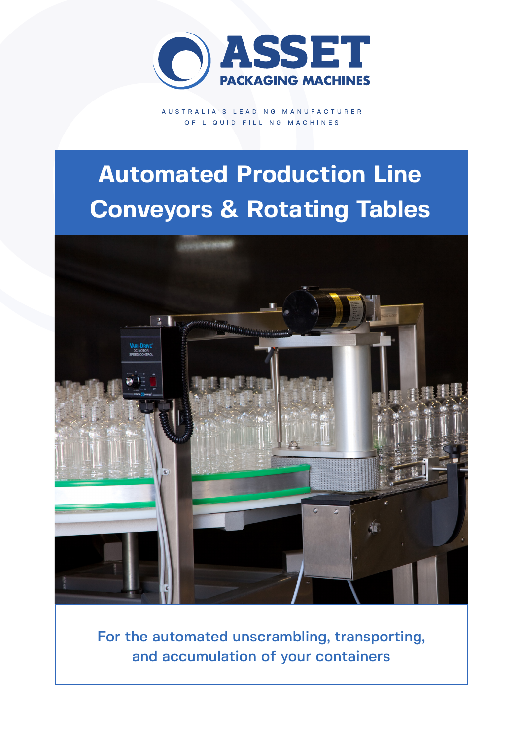

AUSTRALIA'S LEADING MANUFACTURER OF LIQUID FILLING MACHINES

# **Automated Production Line Conveyors & Rotating Tables**



For the automated unscrambling, transporting, and accumulation of your containers